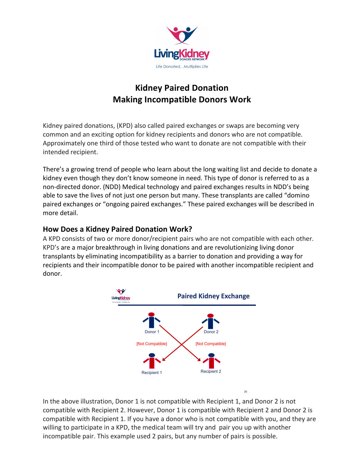

# **Kidney Paired Donation Making Incompatible Donors Work**

Kidney paired donations, (KPD) also called paired exchanges or swaps are becoming very common and an exciting option for kidney recipients and donors who are not compatible. Approximately one third of those tested who want to donate are not compatible with their intended recipient.

There's a growing trend of people who learn about the long waiting list and decide to donate a kidney even though they don't know someone in need. This type of donor is referred to as a non-directed donor. (NDD) Medical technology and paired exchanges results in NDD's being able to save the lives of not just one person but many. These transplants are called "domino" paired exchanges or "ongoing paired exchanges." These paired exchanges will be described in more detail.

#### **How Does a Kidney Paired Donation Work?**

A KPD consists of two or more donor/recipient pairs who are not compatible with each other. KPD's are a major breakthrough in living donations and are revolutionizing living donor transplants by eliminating incompatibility as a barrier to donation and providing a way for recipients and their incompatible donor to be paired with another incompatible recipient and donor.



In the above illustration, Donor 1 is not compatible with Recipient 1, and Donor 2 is not compatible with Recipient 2. However, Donor 1 is compatible with Recipient 2 and Donor 2 is compatible with Recipient 1. If you have a donor who is not compatible with you, and they are willing to participate in a KPD, the medical team will try and pair you up with another incompatible pair. This example used 2 pairs, but any number of pairs is possible.

25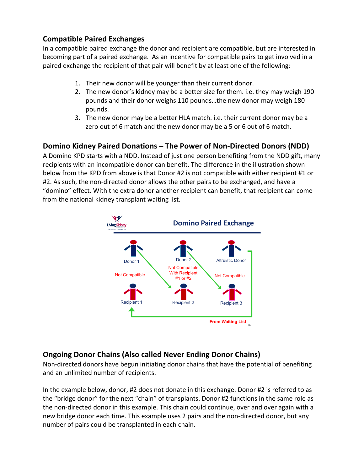#### **Compatible Paired Exchanges**

In a compatible paired exchange the donor and recipient are compatible, but are interested in becoming part of a paired exchange. As an incentive for compatible pairs to get involved in a paired exchange the recipient of that pair will benefit by at least one of the following:

- 1. Their new donor will be younger than their current donor.
- 2. The new donor's kidney may be a better size for them. i.e. they may weigh 190 pounds and their donor weighs 110 pounds...the new donor may weigh 180 pounds.
- 3. The new donor may be a better HLA match. i.e. their current donor may be a zero out of 6 match and the new donor may be a 5 or 6 out of 6 match.

### **Domino Kidney Paired Donations – The Power of Non-Directed Donors (NDD)**

A Domino KPD starts with a NDD. Instead of just one person benefiting from the NDD gift, many recipients with an incompatible donor can benefit. The difference in the illustration shown below from the KPD from above is that Donor #2 is not compatible with either recipient #1 or #2. As such, the non-directed donor allows the other pairs to be exchanged, and have a "domino" effect. With the extra donor another recipient can benefit, that recipient can come from the national kidney transplant waiting list.



## **Ongoing Donor Chains (Also called Never Ending Donor Chains)**

Non-directed donors have begun initiating donor chains that have the potential of benefiting and an unlimited number of recipients.

In the example below, donor, #2 does not donate in this exchange. Donor #2 is referred to as the "bridge donor" for the next "chain" of transplants. Donor #2 functions in the same role as the non-directed donor in this example. This chain could continue, over and over again with a new bridge donor each time. This example uses 2 pairs and the non-directed donor, but any number of pairs could be transplanted in each chain.